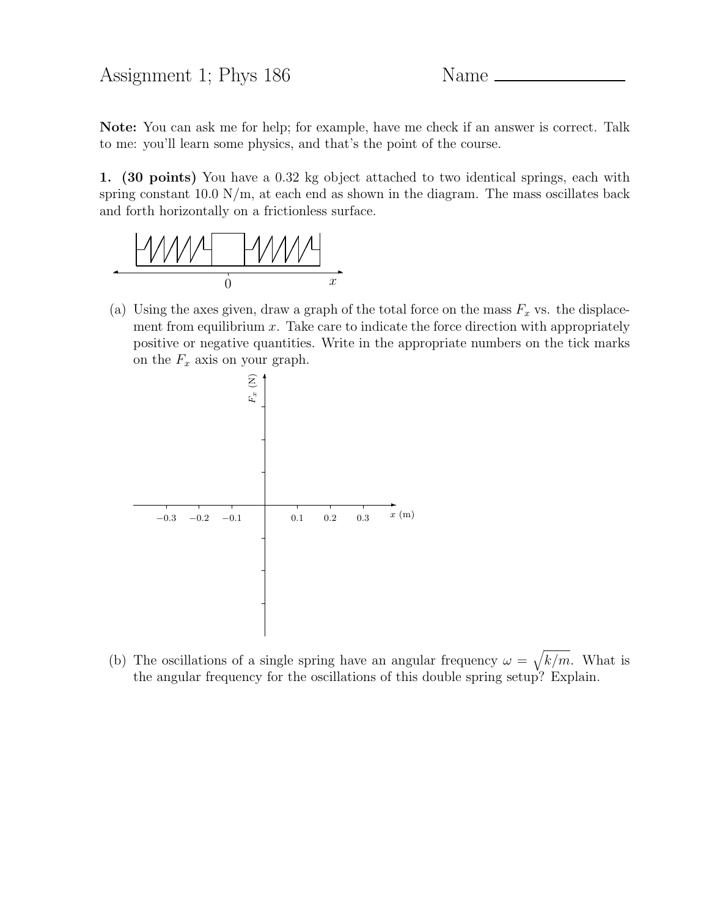Note: You can ask me for help; for example, have me check if an answer is correct. Talk to me: you'll learn some physics, and that's the point of the course.

1. (30 points) You have a 0.32 kg object attached to two identical springs, each with spring constant 10.0  $\frac{N}{m}$ , at each end as shown in the diagram. The mass oscillates back and forth horizontally on a frictionless surface.



(a) Using the axes given, draw a graph of the total force on the mass  $F_x$  vs. the displacement from equilibrium  $x$ . Take care to indicate the force direction with appropriately positive or negative quantities. Write in the appropriate numbers on the tick marks on the  $F_x$  axis on your graph.



(b) The oscillations of a single spring have an angular frequency  $\omega = \sqrt{k/m}$ . What is the angular frequency for the oscillations of this double spring setup? Explain.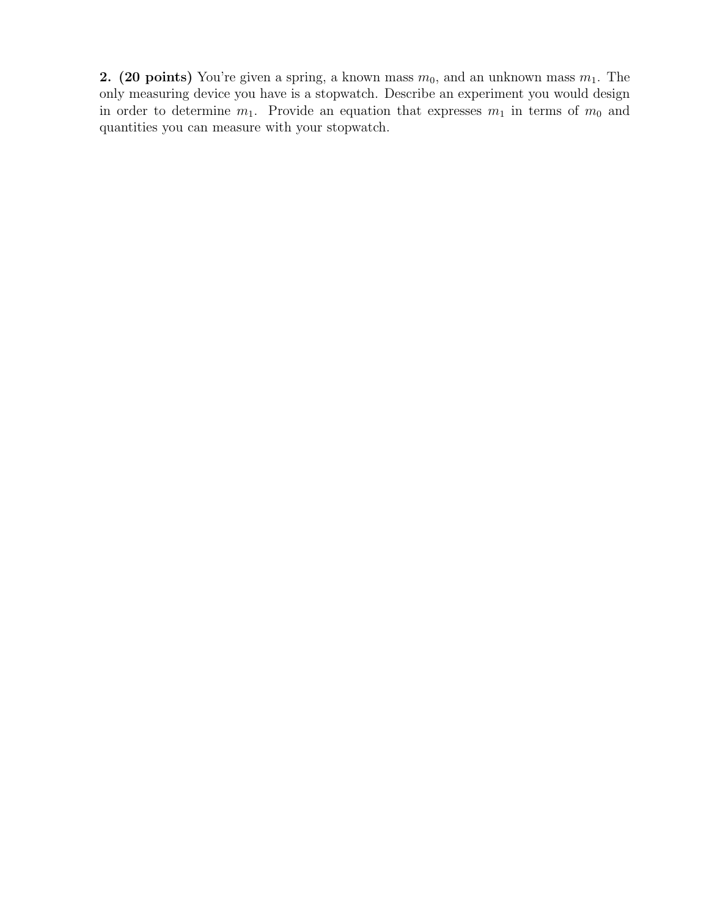2. (20 points) You're given a spring, a known mass  $m_0$ , and an unknown mass  $m_1$ . The only measuring device you have is a stopwatch. Describe an experiment you would design in order to determine  $m_1$ . Provide an equation that expresses  $m_1$  in terms of  $m_0$  and quantities you can measure with your stopwatch.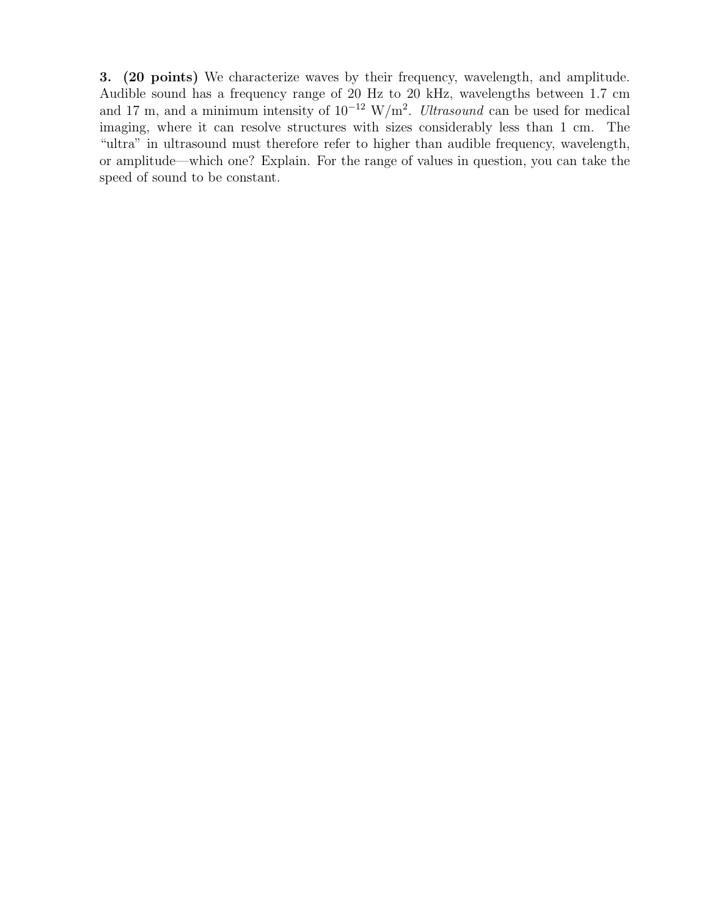3. (20 points) We characterize waves by their frequency, wavelength, and amplitude. Audible sound has a frequency range of 20 Hz to 20 kHz, wavelengths between 1.7 cm and 17 m, and a minimum intensity of  $10^{-12}$  W/m<sup>2</sup>. Ultrasound can be used for medical imaging, where it can resolve structures with sizes considerably less than 1 cm. The "ultra" in ultrasound must therefore refer to higher than audible frequency, wavelength, or amplitude—which one? Explain. For the range of values in question, you can take the speed of sound to be constant.